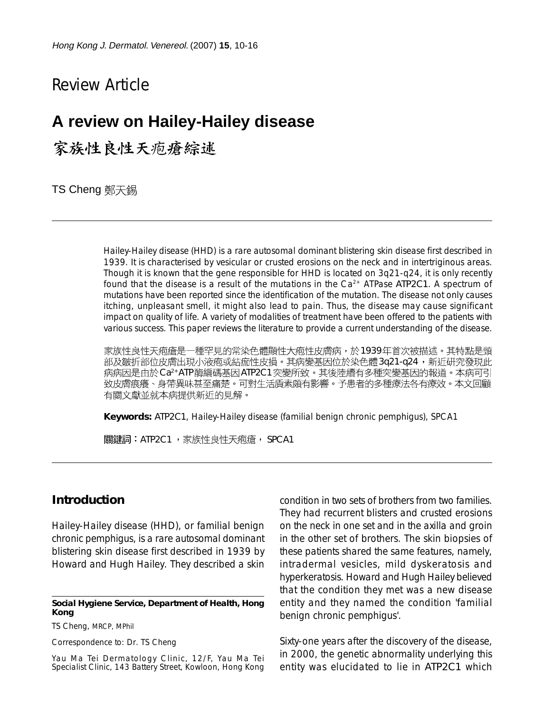# Review Article

# **A review on Hailey-Hailey disease**

家族性良性天疱瘡綜述

TS Cheng 鄭天錫

Hailey-Hailey disease (HHD) is a rare autosomal dominant blistering skin disease first described in 1939. It is characterised by vesicular or crusted erosions on the neck and in intertriginous areas. Though it is known that the gene responsible for HHD is located on 3q21-q24, it is only recently found that the disease is a result of the mutations in the  $Ca<sup>2+</sup>$  ATPase *ATP2C1*. A spectrum of mutations have been reported since the identification of the mutation. The disease not only causes itching, unpleasant smell, it might also lead to pain. Thus, the disease may cause significant impact on quality of life. A variety of modalities of treatment have been offered to the patients with various success. This paper reviews the literature to provide a current understanding of the disease.

家族性良性天疱瘡是一種罕見的常染色體顯性大疱性皮膚病,於1939年首次被描述。其特點是頸 部及皺折部位皮膚出現小液疱或結痂性皮損。其病變基因位於染色體3q21-q24,新近研究發現此 病病因是由於Ca<sup>2+</sup>ATP 酶編碼基因*ATP2C1*突變所致。其後陸續有多種突變基因的報道。本病可引 致皮膚痕癢、身帶異味甚至痛楚。可對生活貭素頗有影響。予患者的多種療法各有療效。本文回顧 有關文獻並就本病提供新近的見解。

**Keywords:** *ATP2C1*, Hailey-Hailey disease (familial benign chronic pemphigus), SPCA1

|關鍵詞:*ATP2C1,*家族性良性天疱瘡, SPCA1|

#### **Introduction**

Hailey-Hailey disease (HHD), or familial benign chronic pemphigus, is a rare autosomal dominant blistering skin disease first described in 1939 by Howard and Hugh Hailey. They described a skin

#### **Social Hygiene Service, Department of Health, Hong Kong**

TS Cheng, MRCP, MPhil

Correspondence to: Dr. TS Cheng

Yau Ma Tei Dermatology Clinic, 12/F, Yau Ma Tei Specialist Clinic, 143 Battery Street, Kowloon, Hong Kong condition in two sets of brothers from two families. They had recurrent blisters and crusted erosions on the neck in one set and in the axilla and groin in the other set of brothers. The skin biopsies of these patients shared the same features, namely, intradermal vesicles, mild dyskeratosis and hyperkeratosis. Howard and Hugh Hailey believed that the condition they met was a new disease entity and they named the condition 'familial benign chronic pemphigus'.

Sixty-one years after the discovery of the disease, in 2000, the genetic abnormality underlying this entity was elucidated to lie in *ATP2C1* which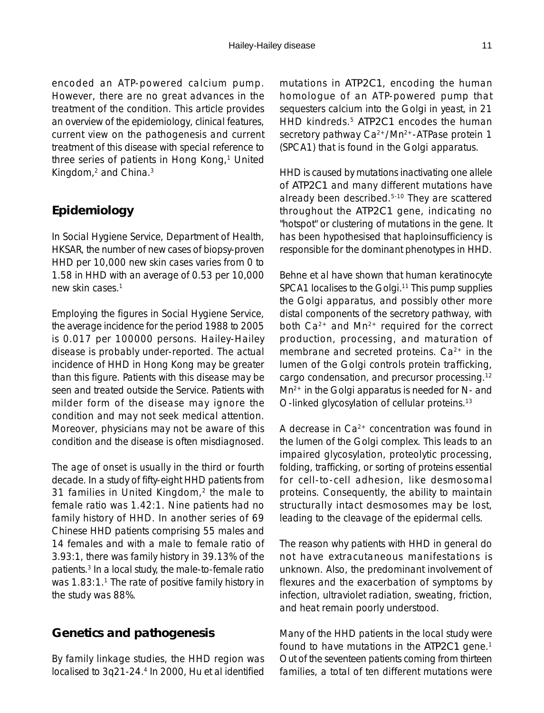an overview of the epidemiology, clinical features, current view on the pathogenesis and current treatment of this disease with special reference to three series of patients in Hong Kong,<sup>1</sup> United Kingdom,2 and China.3

## **Epidemiology**

In Social Hygiene Service, Department of Health, HKSAR, the number of new cases of biopsy-proven HHD per 10,000 new skin cases varies from 0 to 1.58 in HHD with an average of 0.53 per 10,000 new skin cases.1

Employing the figures in Social Hygiene Service, the average incidence for the period 1988 to 2005 is 0.017 per 100000 persons. Hailey-Hailey disease is probably under-reported. The actual incidence of HHD in Hong Kong may be greater than this figure. Patients with this disease may be seen and treated outside the Service. Patients with milder form of the disease may ignore the condition and may not seek medical attention. Moreover, physicians may not be aware of this condition and the disease is often misdiagnosed.

The age of onset is usually in the third or fourth decade. In a study of fifty-eight HHD patients from 31 families in United Kingdom,<sup>2</sup> the male to female ratio was 1.42:1. Nine patients had no family history of HHD. In another series of 69 Chinese HHD patients comprising 55 males and 14 females and with a male to female ratio of 3.93:1, there was family history in 39.13% of the patients.3 In a local study, the male-to-female ratio was 1.83:1.<sup>1</sup> The rate of positive family history in the study was 88%.

### **Genetics and pathogenesis**

By family linkage studies, the HHD region was localised to 3q21-24.4 In 2000, Hu et al identified mutations in *ATP2C1*, encoding the human homologue of an ATP-powered pump that sequesters calcium into the Golgi in yeast, in 21 HHD kindreds.5 *ATP2C1* encodes the human secretory pathway Ca<sup>2+</sup>/Mn<sup>2+</sup>-ATPase protein 1 (SPCA1) that is found in the Golgi apparatus.

HHD is caused by mutations inactivating one allele of *ATP2C1* and many different mutations have already been described.5-10 They are scattered throughout the *ATP2C1* gene, indicating no "hotspot" or clustering of mutations in the gene. It has been hypothesised that haploinsufficiency is responsible for the dominant phenotypes in HHD.

Behne et al have shown that human keratinocyte SPCA1 localises to the Golgi.<sup>11</sup> This pump supplies the Golgi apparatus, and possibly other more distal components of the secretory pathway, with both Ca2+ and Mn2+ required for the correct production, processing, and maturation of membrane and secreted proteins.  $Ca<sup>2+</sup>$  in the lumen of the Golgi controls protein trafficking, cargo condensation, and precursor processing.12 Mn<sup>2+</sup> in the Golgi apparatus is needed for N- and O-linked glycosylation of cellular proteins.13

A decrease in  $Ca^{2+}$  concentration was found in the lumen of the Golgi complex. This leads to an impaired glycosylation, proteolytic processing, folding, trafficking, or sorting of proteins essential for cell-to-cell adhesion, like desmosomal proteins. Consequently, the ability to maintain structurally intact desmosomes may be lost, leading to the cleavage of the epidermal cells.

The reason why patients with HHD in general do not have extracutaneous manifestations is unknown. Also, the predominant involvement of flexures and the exacerbation of symptoms by infection, ultraviolet radiation, sweating, friction, and heat remain poorly understood.

Many of the HHD patients in the local study were found to have mutations in the *ATP2C1* gene.1 Out of the seventeen patients coming from thirteen families, a total of ten different mutations were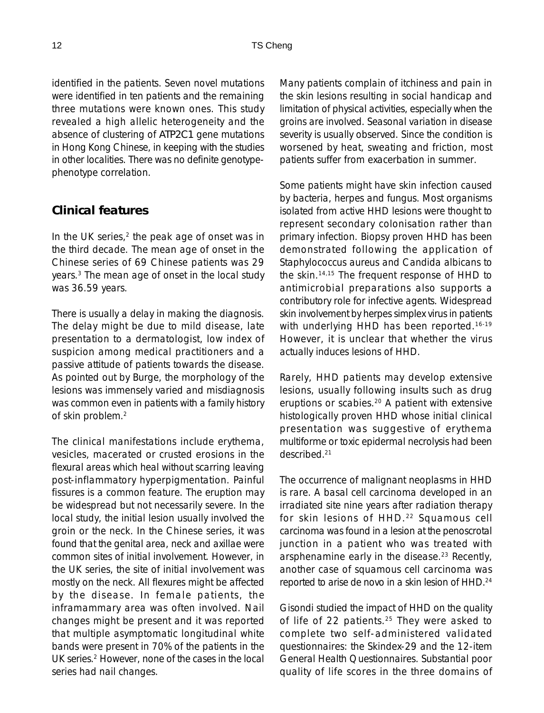identified in the patients. Seven novel mutations were identified in ten patients and the remaining three mutations were known ones. This study revealed a high allelic heterogeneity and the absence of clustering of *ATP2C1* gene mutations in Hong Kong Chinese, in keeping with the studies in other localities. There was no definite genotypephenotype correlation.

### **Clinical features**

In the UK series, $2$  the peak age of onset was in the third decade. The mean age of onset in the Chinese series of 69 Chinese patients was 29 years.3 The mean age of onset in the local study was 36.59 years.

There is usually a delay in making the diagnosis. The delay might be due to mild disease, late presentation to a dermatologist, low index of suspicion among medical practitioners and a passive attitude of patients towards the disease. As pointed out by Burge, the morphology of the lesions was immensely varied and misdiagnosis was common even in patients with a family history of skin problem.2

The clinical manifestations include erythema, vesicles, macerated or crusted erosions in the flexural areas which heal without scarring leaving post-inflammatory hyperpigmentation. Painful fissures is a common feature. The eruption may be widespread but not necessarily severe. In the local study, the initial lesion usually involved the groin or the neck. In the Chinese series, it was found that the genital area, neck and axillae were common sites of initial involvement. However, in the UK series, the site of initial involvement was mostly on the neck. All flexures might be affected by the disease. In female patients, the inframammary area was often involved. Nail changes might be present and it was reported that multiple asymptomatic longitudinal white bands were present in 70% of the patients in the UK series.2 However, none of the cases in the local series had nail changes.

Many patients complain of itchiness and pain in the skin lesions resulting in social handicap and limitation of physical activities, especially when the groins are involved. Seasonal variation in disease severity is usually observed. Since the condition is worsened by heat, sweating and friction, most patients suffer from exacerbation in summer.

Some patients might have skin infection caused by bacteria, herpes and fungus. Most organisms isolated from active HHD lesions were thought to represent secondary colonisation rather than primary infection. Biopsy proven HHD has been demonstrated following the application of Staphylococcus aureus and Candida albicans to the skin.14,15 The frequent response of HHD to antimicrobial preparations also supports a contributory role for infective agents. Widespread skin involvement by herpes simplex virus in patients with underlying HHD has been reported.<sup>16-19</sup> However, it is unclear that whether the virus actually induces lesions of HHD.

Rarely, HHD patients may develop extensive lesions, usually following insults such as drug eruptions or scabies.20 A patient with extensive histologically proven HHD whose initial clinical presentation was suggestive of erythema multiforme or toxic epidermal necrolysis had been described.21

The occurrence of malignant neoplasms in HHD is rare. A basal cell carcinoma developed in an irradiated site nine years after radiation therapy for skin lesions of HHD.<sup>22</sup> Squamous cell carcinoma was found in a lesion at the penoscrotal junction in a patient who was treated with arsphenamine early in the disease.<sup>23</sup> Recently, another case of squamous cell carcinoma was reported to arise de novo in a skin lesion of HHD.24

Gisondi studied the impact of HHD on the quality of life of 22 patients.<sup>25</sup> They were asked to complete two self-administered validated questionnaires: the Skindex-29 and the 12-item General Health Questionnaires. Substantial poor quality of life scores in the three domains of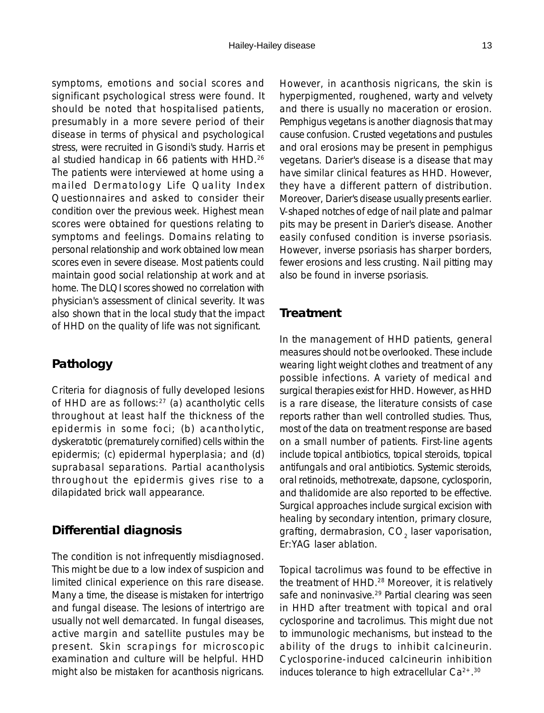symptoms, emotions and social scores and significant psychological stress were found. It should be noted that hospitalised patients, presumably in a more severe period of their disease in terms of physical and psychological stress, were recruited in Gisondi's study. Harris et al studied handicap in 66 patients with HHD.26 The patients were interviewed at home using a mailed Dermatology Life Quality Index Questionnaires and asked to consider their condition over the previous week. Highest mean scores were obtained for questions relating to symptoms and feelings. Domains relating to personal relationship and work obtained low mean scores even in severe disease. Most patients could maintain good social relationship at work and at home. The DLQI scores showed no correlation with physician's assessment of clinical severity. It was also shown that in the local study that the impact of HHD on the quality of life was not significant.

### **Pathology**

Criteria for diagnosis of fully developed lesions of HHD are as follows:<sup>27</sup> (a) acantholytic cells throughout at least half the thickness of the epidermis in some foci; (b) acantholytic, dyskeratotic (prematurely cornified) cells within the epidermis; (c) epidermal hyperplasia; and (d) suprabasal separations. Partial acantholysis throughout the epidermis gives rise to a dilapidated brick wall appearance.

### **Differential diagnosis**

The condition is not infrequently misdiagnosed. This might be due to a low index of suspicion and limited clinical experience on this rare disease. Many a time, the disease is mistaken for intertrigo and fungal disease. The lesions of intertrigo are usually not well demarcated. In fungal diseases, active margin and satellite pustules may be present. Skin scrapings for microscopic examination and culture will be helpful. HHD might also be mistaken for acanthosis nigricans.

However, in acanthosis nigricans, the skin is hyperpigmented, roughened, warty and velvety and there is usually no maceration or erosion. Pemphigus vegetans is another diagnosis that may cause confusion. Crusted vegetations and pustules and oral erosions may be present in pemphigus vegetans. Darier's disease is a disease that may have similar clinical features as HHD. However, they have a different pattern of distribution. Moreover, Darier's disease usually presents earlier. V-shaped notches of edge of nail plate and palmar pits may be present in Darier's disease. Another easily confused condition is inverse psoriasis. However, inverse psoriasis has sharper borders, fewer erosions and less crusting. Nail pitting may also be found in inverse psoriasis.

#### **Treatment**

In the management of HHD patients, general measures should not be overlooked. These include wearing light weight clothes and treatment of any possible infections. A variety of medical and surgical therapies exist for HHD. However, as HHD is a rare disease, the literature consists of case reports rather than well controlled studies. Thus, most of the data on treatment response are based on a small number of patients. First-line agents include topical antibiotics, topical steroids, topical antifungals and oral antibiotics. Systemic steroids, oral retinoids, methotrexate, dapsone, cyclosporin, and thalidomide are also reported to be effective. Surgical approaches include surgical excision with healing by secondary intention, primary closure, grafting, dermabrasion,  $CO<sub>2</sub>$  laser vaporisation, Er:YAG laser ablation.

Topical tacrolimus was found to be effective in the treatment of HHD.<sup>28</sup> Moreover, it is relatively safe and noninvasive.<sup>29</sup> Partial clearing was seen in HHD after treatment with topical and oral cyclosporine and tacrolimus. This might due not to immunologic mechanisms, but instead to the ability of the drugs to inhibit calcineurin. Cyclosporine-induced calcineurin inhibition induces tolerance to high extracellular  $Ca^{2+}$ .<sup>30</sup>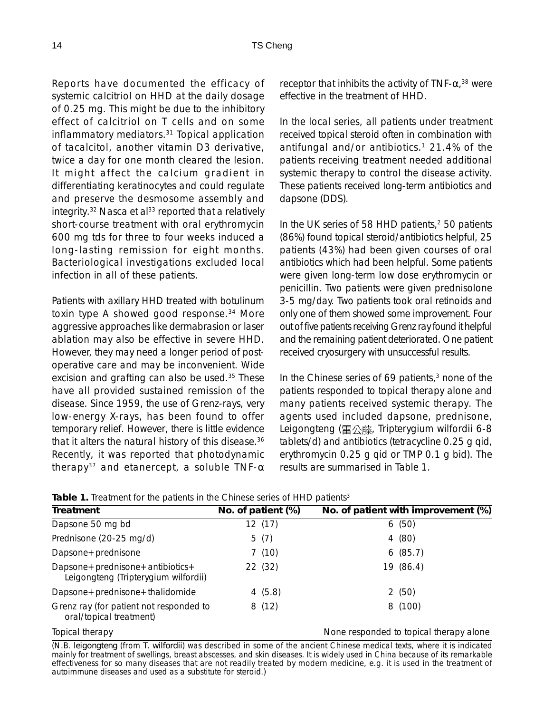Reports have documented the efficacy of systemic calcitriol on HHD at the daily dosage of 0.25 mg. This might be due to the inhibitory effect of calcitriol on T cells and on some inflammatory mediators.31 Topical application of tacalcitol, another vitamin D3 derivative, twice a day for one month cleared the lesion. It might affect the calcium gradient in differentiating keratinocytes and could regulate and preserve the desmosome assembly and integrity.<sup>32</sup> Nasca et al<sup>33</sup> reported that a relatively short-course treatment with oral erythromycin 600 mg tds for three to four weeks induced a long-lasting remission for eight months. Bacteriological investigations excluded local infection in all of these patients.

Patients with axillary HHD treated with botulinum toxin type A showed good response.<sup>34</sup> More aggressive approaches like dermabrasion or laser ablation may also be effective in severe HHD. However, they may need a longer period of postoperative care and may be inconvenient. Wide excision and grafting can also be used.<sup>35</sup> These have all provided sustained remission of the disease. Since 1959, the use of Grenz-rays, very low-energy X-rays, has been found to offer temporary relief. However, there is little evidence that it alters the natural history of this disease.<sup>36</sup> Recently, it was reported that photodynamic therapy<sup>37</sup> and etanercept, a soluble TNF- $\alpha$ 

receptor that inhibits the activity of TNF- $\alpha$ ,<sup>38</sup> were effective in the treatment of HHD.

In the local series, all patients under treatment received topical steroid often in combination with antifungal and/or antibiotics.<sup>1</sup> 21.4% of the patients receiving treatment needed additional systemic therapy to control the disease activity. These patients received long-term antibiotics and dapsone (DDS).

In the UK series of 58 HHD patients, $2$  50 patients (86%) found topical steroid/antibiotics helpful, 25 patients (43%) had been given courses of oral antibiotics which had been helpful. Some patients were given long-term low dose erythromycin or penicillin. Two patients were given prednisolone 3-5 mg/day. Two patients took oral retinoids and only one of them showed some improvement. Four out of five patients receiving Grenz ray found it helpful and the remaining patient deteriorated. One patient received cryosurgery with unsuccessful results.

In the Chinese series of 69 patients, $3$  none of the patients responded to topical therapy alone and many patients received systemic therapy. The agents used included dapsone, prednisone, Leigongteng (雷公藤, Tripterygium wilfordii 6-8 tablets/d) and antibiotics (tetracycline 0.25 g qid, erythromycin 0.25 g qid or TMP 0.1 g bid). The results are summarised in Table 1.

| <b>Treatment</b>                                                             | No. of patient (%) | No. of patient with improvement (%)     |
|------------------------------------------------------------------------------|--------------------|-----------------------------------------|
| Dapsone 50 mg bd                                                             | 12 (17)            | 6(50)                                   |
| Prednisone (20-25 mg/d)                                                      | 5(7)               | 4 (80)                                  |
| Dapsone + prednisone                                                         | 7(10)              | 6(85.7)                                 |
| Dapsone + prednisone + antibiotics +<br>Leigongteng (Tripterygium wilfordii) | 22 (32)            | 19 (86.4)                               |
| $D$ apsone + prednisone + thalidomide                                        | 4(5.8)             | 2(50)                                   |
| Grenz ray (for patient not responded to<br>oral/topical treatment)           | 8(12)              | 8 (100)                                 |
| Topical therapy                                                              |                    | None responded to topical therapy alone |

| Table 1. Treatment for the patients in the Chinese series of HHD patients <sup>3</sup> |  |  |  |  |  |  |  |  |  |  |  |
|----------------------------------------------------------------------------------------|--|--|--|--|--|--|--|--|--|--|--|
|----------------------------------------------------------------------------------------|--|--|--|--|--|--|--|--|--|--|--|

(N.B. *leigongteng* (from *T. wilfordii*) was described in some of the ancient Chinese medical texts, where it is indicated mainly for treatment of swellings, breast abscesses, and skin diseases. It is widely used in China because of its remarkable effectiveness for so many diseases that are not readily treated by modern medicine, e.g. it is used in the treatment of autoimmune diseases and used as a substitute for steroid.)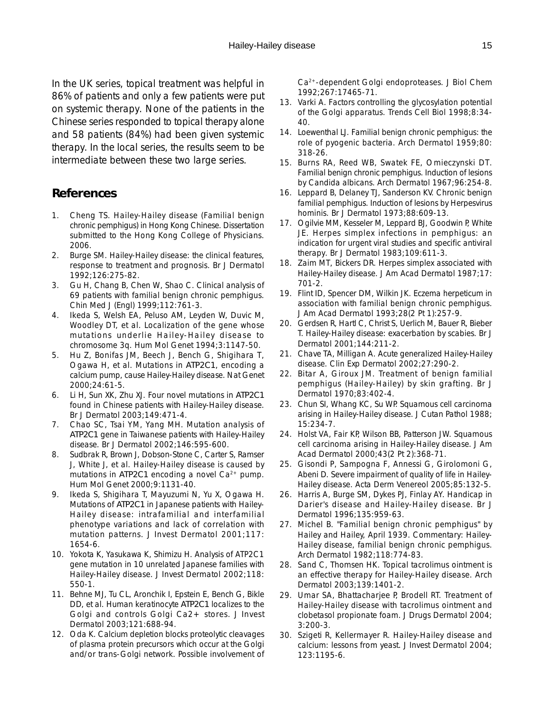In the UK series, topical treatment was helpful in 86% of patients and only a few patients were put on systemic therapy. None of the patients in the Chinese series responded to topical therapy alone and 58 patients (84%) had been given systemic therapy. In the local series, the results seem to be intermediate between these two large series.

### **References**

- 1. Cheng TS. Hailey-Hailey disease (Familial benign chronic pemphigus) in Hong Kong Chinese. Dissertation submitted to the Hong Kong College of Physicians. 2006.
- 2. Burge SM. Hailey-Hailey disease: the clinical features, response to treatment and prognosis. Br J Dermatol 1992;126:275-82.
- 3. Gu H, Chang B, Chen W, Shao C. Clinical analysis of 69 patients with familial benign chronic pemphigus. Chin Med J (Engl) 1999;112:761-3.
- 4. Ikeda S, Welsh EA, Peluso AM, Leyden W, Duvic M, Woodley DT, et al. Localization of the gene whose mutations underlie Hailey-Hailey disease to chromosome 3q. Hum Mol Genet 1994;3:1147-50.
- 5. Hu Z, Bonifas JM, Beech J, Bench G, Shigihara T, Ogawa H, et al. Mutations in *ATP2C1*, encoding a calcium pump, cause Hailey-Hailey disease. Nat Genet 2000;24:61-5.
- 6. Li H, Sun XK, Zhu XJ. Four novel mutations in *ATP2C1* found in Chinese patients with Hailey-Hailey disease. Br J Dermatol 2003;149:471-4.
- 7. Chao SC, Tsai YM, Yang MH. Mutation analysis of *ATP2C1* gene in Taiwanese patients with Hailey-Hailey disease. Br J Dermatol 2002;146:595-600.
- 8. Sudbrak R, Brown J, Dobson-Stone C, Carter S, Ramser J, White J, et al. Hailey-Hailey disease is caused by mutations in *ATP2C1* encoding a novel Ca<sup>2+</sup> pump. Hum Mol Genet 2000;9:1131-40.
- 9. Ikeda S, Shigihara T, Mayuzumi N, Yu X, Ogawa H. Mutations of *ATP2C1* in Japanese patients with Hailey-Hailey disease: intrafamilial and interfamilial phenotype variations and lack of correlation with mutation patterns. J Invest Dermatol 2001;117: 1654-6.
- 10. Yokota K, Yasukawa K, Shimizu H. Analysis of ATP2C1 gene mutation in 10 unrelated Japanese families with Hailey-Hailey disease. J Invest Dermatol 2002;118: 550-1.
- 11. Behne MJ, Tu CL, Aronchik I, Epstein E, Bench G, Bikle DD, et al. Human keratinocyte *ATP2C1* localizes to the Golgi and controls Golgi Ca2+ stores. J Invest Dermatol 2003;121:688-94.
- 12. Oda K. Calcium depletion blocks proteolytic cleavages of plasma protein precursors which occur at the Golgi and/or trans-Golgi network. Possible involvement of

Ca2+-dependent Golgi endoproteases. J Biol Chem 1992;267:17465-71.

- 13. Varki A. Factors controlling the glycosylation potential of the Golgi apparatus. Trends Cell Biol 1998;8:34- 40.
- 14. Loewenthal LJ. Familial benign chronic pemphigus: the role of pyogenic bacteria. Arch Dermatol 1959;80: 318-26.
- 15. Burns RA, Reed WB, Swatek FE, Omieczynski DT. Familial benign chronic pemphigus. Induction of lesions by Candida albicans. Arch Dermatol 1967;96:254-8.
- 16. Leppard B, Delaney TJ, Sanderson KV. Chronic benign familial pemphigus. Induction of lesions by Herpesvirus hominis. Br J Dermatol 1973;88:609-13.
- 17. Ogilvie MM, Kesseler M, Leppard BJ, Goodwin P, White JE. Herpes simplex infections in pemphigus: an indication for urgent viral studies and specific antiviral therapy. Br J Dermatol 1983;109:611-3.
- 18. Zaim MT, Bickers DR. Herpes simplex associated with Hailey-Hailey disease. J Am Acad Dermatol 1987;17: 701-2.
- 19. Flint ID, Spencer DM, Wilkin JK. Eczema herpeticum in association with familial benign chronic pemphigus. J Am Acad Dermatol 1993;28(2 Pt 1):257-9.
- 20. Gerdsen R, Hartl C, Christ S, Uerlich M, Bauer R, Bieber T. Hailey-Hailey disease: exacerbation by scabies. Br J Dermatol 2001;144:211-2.
- 21. Chave TA, Milligan A. Acute generalized Hailey-Hailey disease. Clin Exp Dermatol 2002;27:290-2.
- 22. Bitar A, Giroux JM. Treatment of benign familial pemphigus (Hailey-Hailey) by skin grafting. Br J Dermatol 1970;83:402-4.
- 23. Chun SI, Whang KC, Su WP. Squamous cell carcinoma arising in Hailey-Hailey disease. J Cutan Pathol 1988; 15:234-7.
- 24. Holst VA, Fair KP, Wilson BB, Patterson JW. Squamous cell carcinoma arising in Hailey-Hailey disease. J Am Acad Dermatol 2000;43(2 Pt 2):368-71.
- 25. Gisondi P, Sampogna F, Annessi G, Girolomoni G, Abeni D. Severe impairment of quality of life in Hailey-Hailey disease. Acta Derm Venereol 2005;85:132-5.
- 26. Harris A, Burge SM, Dykes PJ, Finlay AY. Handicap in Darier's disease and Hailey-Hailey disease. Br J Dermatol 1996;135:959-63.
- 27. Michel B. "Familial benign chronic pemphigus" by Hailey and Hailey, April 1939. Commentary: Hailey-Hailey disease, familial benign chronic pemphigus. Arch Dermatol 1982;118:774-83.
- 28. Sand C, Thomsen HK. Topical tacrolimus ointment is an effective therapy for Hailey-Hailey disease. Arch Dermatol 2003;139:1401-2.
- 29. Umar SA, Bhattacharjee P, Brodell RT. Treatment of Hailey-Hailey disease with tacrolimus ointment and clobetasol propionate foam. J Drugs Dermatol 2004; 3:200-3.
- 30. Szigeti R, Kellermayer R. Hailey-Hailey disease and calcium: lessons from yeast. J Invest Dermatol 2004; 123:1195-6.